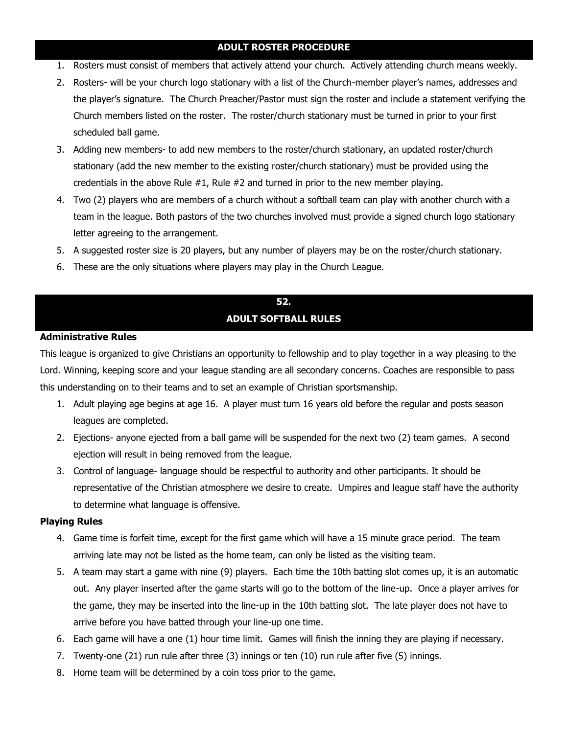## **ADULT ROSTER PROCEDURE**

- 1. Rosters must consist of members that actively attend your church. Actively attending church means weekly.
- 2. Rosters- will be your church logo stationary with a list of the Church-member player's names, addresses and the player's signature. The Church Preacher/Pastor must sign the roster and include a statement verifying the Church members listed on the roster. The roster/church stationary must be turned in prior to your first scheduled ball game.
- 3. Adding new members- to add new members to the roster/church stationary, an updated roster/church stationary (add the new member to the existing roster/church stationary) must be provided using the credentials in the above Rule  $#1$ , Rule  $#2$  and turned in prior to the new member playing.
- 4. Two (2) players who are members of a church without a softball team can play with another church with a team in the league. Both pastors of the two churches involved must provide a signed church logo stationary letter agreeing to the arrangement.
- 5. A suggested roster size is 20 players, but any number of players may be on the roster/church stationary.
- 6. These are the only situations where players may play in the Church League.

## **52. ADULT SOFTBALL RULES**

## **Administrative Rules**

This league is organized to give Christians an opportunity to fellowship and to play together in a way pleasing to the Lord. Winning, keeping score and your league standing are all secondary concerns. Coaches are responsible to pass this understanding on to their teams and to set an example of Christian sportsmanship.

- 1. Adult playing age begins at age 16. A player must turn 16 years old before the regular and posts season leagues are completed.
- 2. Ejections- anyone ejected from a ball game will be suspended for the next two (2) team games. A second ejection will result in being removed from the league.
- 3. Control of language- language should be respectful to authority and other participants. It should be representative of the Christian atmosphere we desire to create. Umpires and league staff have the authority to determine what language is offensive.

## **Playing Rules**

- 4. Game time is forfeit time, except for the first game which will have a 15 minute grace period. The team arriving late may not be listed as the home team, can only be listed as the visiting team.
- 5. A team may start a game with nine (9) players. Each time the 10th batting slot comes up, it is an automatic out. Any player inserted after the game starts will go to the bottom of the line-up. Once a player arrives for the game, they may be inserted into the line-up in the 10th batting slot. The late player does not have to arrive before you have batted through your line-up one time.
- 6. Each game will have a one (1) hour time limit. Games will finish the inning they are playing if necessary.
- 7. Twenty-one (21) run rule after three (3) innings or ten (10) run rule after five (5) innings.
- 8. Home team will be determined by a coin toss prior to the game.